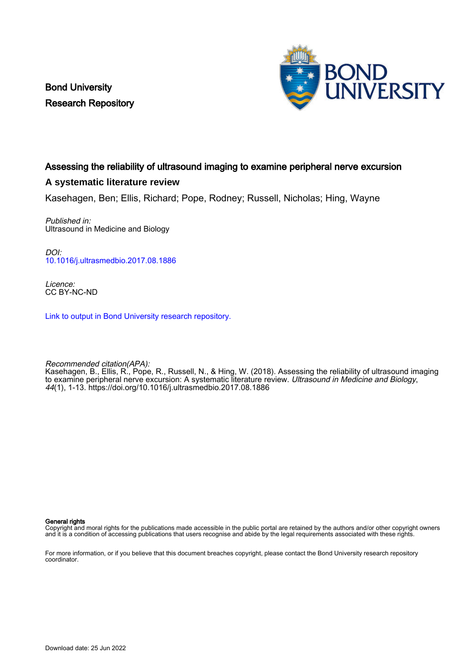Bond University Research Repository



# Assessing the reliability of ultrasound imaging to examine peripheral nerve excursion

# **A systematic literature review**

Kasehagen, Ben; Ellis, Richard; Pope, Rodney; Russell, Nicholas; Hing, Wayne

Published in: Ultrasound in Medicine and Biology

DOI: [10.1016/j.ultrasmedbio.2017.08.1886](https://doi.org/10.1016/j.ultrasmedbio.2017.08.1886)

Licence: CC BY-NC-ND

[Link to output in Bond University research repository.](https://research.bond.edu.au/en/publications/682eed65-a1f4-4cb3-851e-81d3c389b68f)

Recommended citation(APA): Kasehagen, B., Ellis, R., Pope, R., Russell, N., & Hing, W. (2018). Assessing the reliability of ultrasound imaging to examine peripheral nerve excursion: A systematic literature review. *Ultrasound in Medicine and Biology*, 44(1), 1-13.<https://doi.org/10.1016/j.ultrasmedbio.2017.08.1886>

General rights

Copyright and moral rights for the publications made accessible in the public portal are retained by the authors and/or other copyright owners and it is a condition of accessing publications that users recognise and abide by the legal requirements associated with these rights.

For more information, or if you believe that this document breaches copyright, please contact the Bond University research repository coordinator.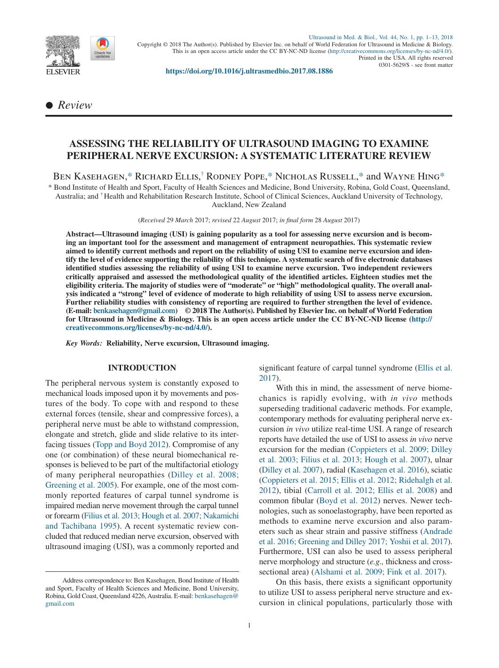

[Ultrasound in Med. & Biol., Vol. 44, No. 1, pp. 1–13, 2018](https://doi.org/10.1016/j.ultrasmedbio.2017.08.1886) Copyright © 2018 The Author(s). Published by Elsevier Inc. on behalf of World Federation for Ultrasound in Medicine & Biology. This is an open access article under the CC BY-NC-ND license (http://creativecommons.org/licenses/by-nc-nd/4.0/). Printed in the USA. All rights reserved 0301-5629/\$ - see front matter

**<https://doi.org/10.1016/j.ultrasmedbio.2017.08.1886>**

# ● *Review*

# **ASSESSING THE RELIABILITY OF ULTRASOUND IMAGING TO EXAMINE PERIPHERAL NERVE EXCURSION: A SYSTEMATIC LITERATURE REVIEW**

Ben Kasehagen,[\\*](#page-1-0) Richard Ellis, [†](#page-1-1) Rodney Pope,[\\*](#page-1-0) Nicholas Russell,[\\*](#page-1-0) and Wayne Hing[\\*](#page-1-0)

<span id="page-1-1"></span><span id="page-1-0"></span>\* Bond Institute of Health and Sport, Faculty of Health Sciences and Medicine, Bond University, Robina, Gold Coast, Queensland, Australia; and † Health and Rehabilitation Research Institute, School of Clinical Sciences, Auckland University of Technology, Auckland, New Zealand

(*Received* 29 *March* 2017; *revised* 22 *August* 2017; *in final form* 28 *August* 2017)

**Abstract—Ultrasound imaging (USI) is gaining popularity as a tool for assessing nerve excursion and is becoming an important tool for the assessment and management of entrapment neuropathies. This systematic review aimed to identify current methods and report on the reliability of using USI to examine nerve excursion and identify the level of evidence supporting the reliability of this technique. A systematic search of five electronic databases identified studies assessing the reliability of using USI to examine nerve excursion. Two independent reviewers critically appraised and assessed the methodological quality of the identified articles. Eighteen studies met the eligibility criteria. The majority of studies were of "moderate" or "high" methodological quality. The overall analysis indicated a "strong" level of evidence of moderate to high reliability of using USI to assess nerve excursion. Further reliability studies with consistency of reporting are required to further strengthen the level of evidence. (E-mail: [benkasehagen@gmail.com](mailto:benkasehagen@gmail.com)) © 2018 The Author(s). Published by Elsevier Inc. on behalf of World Federation for Ultrasound in Medicine & Biology. This is an open access article under the CC BY-NC-ND license (http:// creativecommons.org/licenses/by-nc-nd/4.0/).**

*Key Words:* **Reliability, Nerve excursion, Ultrasound imaging.**

### **INTRODUCTION**

The peripheral nervous system is constantly exposed to mechanical loads imposed upon it by movements and postures of the body. To cope with and respond to these external forces (tensile, shear and compressive forces), a peripheral nerve must be able to withstand compression, elongate and stretch, glide and slide relative to its interfacing tissues [\(Topp and Boyd 2012\)](#page-13-0). Compromise of any one (or combination) of these neural biomechanical responses is believed to be part of the multifactorial etiology of many peripheral neuropathies [\(Dilley et al. 2008;](#page-12-0) [Greening et al. 2005\)](#page-12-0). For example, one of the most commonly reported features of carpal tunnel syndrome is impaired median nerve movement through the carpal tunnel or forearm [\(Filius et al. 2013; Hough et al. 2007; Nakamichi](#page-12-1) [and Tachibana 1995\)](#page-12-1). A recent systematic review concluded that reduced median nerve excursion, observed with ultrasound imaging (USI), was a commonly reported and

Address correspondence to: Ben Kasehagen, Bond Institute of Health and Sport, Faculty of Health Sciences and Medicine, Bond University, Robina, Gold Coast, Queensland 4226, Australia. E-mail: [benkasehagen@](mailto:benkasehagen@gmail.com) [gmail.com](mailto:benkasehagen@gmail.com)

significant feature of carpal tunnel syndrome [\(Ellis et al.](#page-12-2) [2017\)](#page-12-2).

With this in mind, the assessment of nerve biomechanics is rapidly evolving, with *in vivo* methods superseding traditional cadaveric methods. For example, contemporary methods for evaluating peripheral nerve excursion *in vivo* utilize real-time USI. A range of research reports have detailed the use of USI to assess *in vivo* nerve excursion for the median [\(Coppieters et al. 2009; Dilley](#page-12-3) [et al. 2003; Filius et al. 2013; Hough et al. 2007\)](#page-12-3), ulnar [\(Dilley et al. 2007\)](#page-12-4), radial [\(Kasehagen et al. 2016\)](#page-12-5), sciatic [\(Coppieters et al. 2015; Ellis et al. 2012; Ridehalgh et al.](#page-12-6) [2012\)](#page-12-6), tibial [\(Carroll et al. 2012; Ellis et al. 2008\)](#page-12-7) and common fibular [\(Boyd et al. 2012\)](#page-12-8) nerves. Newer technologies, such as sonoelastography, have been reported as methods to examine nerve excursion and also parameters such as shear strain and passive stiffness [\(Andrade](#page-12-9) [et al. 2016; Greening and Dilley 2017; Yoshii et al. 2017\)](#page-12-9). Furthermore, USI can also be used to assess peripheral nerve morphology and structure (*e.g.,* thickness and crosssectional area) [\(Alshami et al. 2009; Fink et al. 2017\)](#page-12-10).

On this basis, there exists a significant opportunity to utilize USI to assess peripheral nerve structure and excursion in clinical populations, particularly those with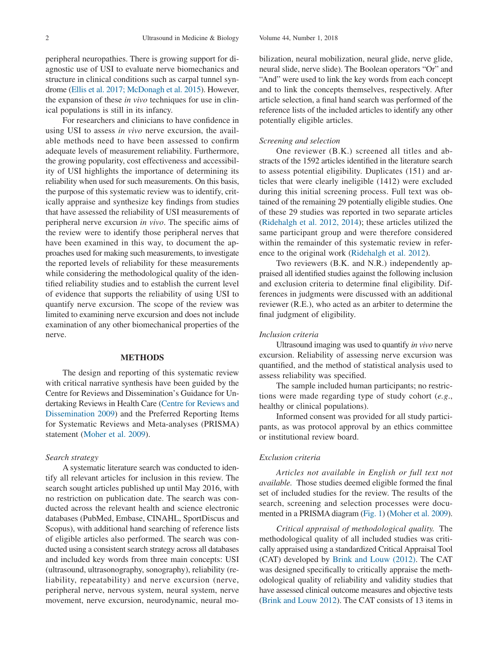peripheral neuropathies. There is growing support for diagnostic use of USI to evaluate nerve biomechanics and structure in clinical conditions such as carpal tunnel syndrome [\(Ellis et al. 2017; McDonagh et al. 2015\)](#page-12-2). However, the expansion of these *in vivo* techniques for use in clinical populations is still in its infancy.

For researchers and clinicians to have confidence in using USI to assess *in vivo* nerve excursion, the available methods need to have been assessed to confirm adequate levels of measurement reliability. Furthermore, the growing popularity, cost effectiveness and accessibility of USI highlights the importance of determining its reliability when used for such measurements. On this basis, the purpose of this systematic review was to identify, critically appraise and synthesize key findings from studies that have assessed the reliability of USI measurements of peripheral nerve excursion *in vivo*. The specific aims of the review were to identify those peripheral nerves that have been examined in this way, to document the approaches used for making such measurements, to investigate the reported levels of reliability for these measurements while considering the methodological quality of the identified reliability studies and to establish the current level of evidence that supports the reliability of using USI to quantify nerve excursion. The scope of the review was limited to examining nerve excursion and does not include examination of any other biomechanical properties of the nerve.

#### **METHODS**

The design and reporting of this systematic review with critical narrative synthesis have been guided by the Centre for Reviews and Dissemination's Guidance for Undertaking Reviews in Health Care [\(Centre for Reviews and](#page-12-11) [Dissemination 2009\)](#page-12-11) and the Preferred Reporting Items for Systematic Reviews and Meta-analyses (PRISMA) statement [\(Moher et al. 2009\)](#page-12-12).

#### *Search strategy*

A systematic literature search was conducted to identify all relevant articles for inclusion in this review. The search sought articles published up until May 2016, with no restriction on publication date. The search was conducted across the relevant health and science electronic databases (PubMed, Embase, CINAHL, SportDiscus and Scopus), with additional hand searching of reference lists of eligible articles also performed. The search was conducted using a consistent search strategy across all databases and included key words from three main concepts: USI (ultrasound, ultrasonography, sonography), reliability (reliability, repeatability) and nerve excursion (nerve, peripheral nerve, nervous system, neural system, nerve movement, nerve excursion, neurodynamic, neural mobilization, neural mobilization, neural glide, nerve glide, neural slide, nerve slide). The Boolean operators "Or" and "And" were used to link the key words from each concept and to link the concepts themselves, respectively. After article selection, a final hand search was performed of the reference lists of the included articles to identify any other potentially eligible articles.

#### *Screening and selection*

One reviewer (B.K.) screened all titles and abstracts of the 1592 articles identified in the literature search to assess potential eligibility. Duplicates (151) and articles that were clearly ineligible (1412) were excluded during this initial screening process. Full text was obtained of the remaining 29 potentially eligible studies. One of these 29 studies was reported in two separate articles [\(Ridehalgh et al. 2012, 2014\)](#page-13-1); these articles utilized the same participant group and were therefore considered within the remainder of this systematic review in reference to the original work [\(Ridehalgh et al. 2012\)](#page-13-1).

Two reviewers (B.K. and N.R.) independently appraised all identified studies against the following inclusion and exclusion criteria to determine final eligibility. Differences in judgments were discussed with an additional reviewer (R.E.), who acted as an arbiter to determine the final judgment of eligibility.

#### *Inclusion criteria*

Ultrasound imaging was used to quantify *in vivo* nerve excursion. Reliability of assessing nerve excursion was quantified, and the method of statistical analysis used to assess reliability was specified.

The sample included human participants; no restrictions were made regarding type of study cohort (*e.g*., healthy or clinical populations).

Informed consent was provided for all study participants, as was protocol approval by an ethics committee or institutional review board.

#### *Exclusion criteria*

*Articles not available in English or full text not available.* Those studies deemed eligible formed the final set of included studies for the review. The results of the search, screening and selection processes were documented in a PRISMA diagram [\(Fig. 1\)](#page-3-0) [\(Moher et al. 2009\)](#page-12-12).

*Critical appraisal of methodological quality.* The methodological quality of all included studies was critically appraised using a standardized Critical Appraisal Tool (CAT) developed by [Brink and Louw \(2012\).](#page-12-13) The CAT was designed specifically to critically appraise the methodological quality of reliability and validity studies that have assessed clinical outcome measures and objective tests [\(Brink and Louw 2012\)](#page-12-13). The CAT consists of 13 items in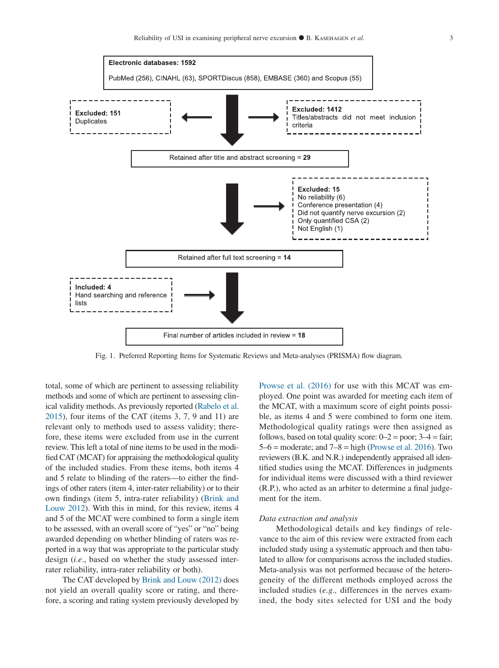

<span id="page-3-0"></span>Fig. 1. Preferred Reporting Items for Systematic Reviews and Meta-analyses (PRISMA) flow diagram.

total, some of which are pertinent to assessing reliability methods and some of which are pertinent to assessing clinical validity methods. As previously reported [\(Rabelo et al.](#page-12-14) [2015\)](#page-12-14), four items of the CAT (items 3, 7, 9 and 11) are relevant only to methods used to assess validity; therefore, these items were excluded from use in the current review. This left a total of nine items to be used in the modified CAT (MCAT) for appraising the methodological quality of the included studies. From these items, both items 4 and 5 relate to blinding of the raters—to either the findings of other raters (item 4, inter-rater reliability) or to their own findings (item 5, intra-rater reliability) [\(Brink and](#page-12-13) [Louw 2012\)](#page-12-13). With this in mind, for this review, items 4 and 5 of the MCAT were combined to form a single item to be assessed, with an overall score of "yes" or "no" being awarded depending on whether blinding of raters was reported in a way that was appropriate to the particular study design (*i.e*., based on whether the study assessed interrater reliability, intra-rater reliability or both).

The CAT developed by [Brink and Louw \(2012\)](#page-12-13) does not yield an overall quality score or rating, and therefore, a scoring and rating system previously developed by [Prowse et al. \(2016\)](#page-12-15) for use with this MCAT was employed. One point was awarded for meeting each item of the MCAT, with a maximum score of eight points possible, as items 4 and 5 were combined to form one item. Methodological quality ratings were then assigned as follows, based on total quality score:  $0-2 =$  poor;  $3-4 =$  fair;  $5-6$  = moderate; and  $7-8$  = high [\(Prowse et al. 2016\)](#page-12-15). Two reviewers (B.K. and N.R.) independently appraised all identified studies using the MCAT. Differences in judgments for individual items were discussed with a third reviewer (R.P.), who acted as an arbiter to determine a final judgement for the item.

#### *Data extraction and analysis*

Methodological details and key findings of relevance to the aim of this review were extracted from each included study using a systematic approach and then tabulated to allow for comparisons across the included studies. Meta-analysis was not performed because of the heterogeneity of the different methods employed across the included studies (*e.g.,* differences in the nerves examined, the body sites selected for USI and the body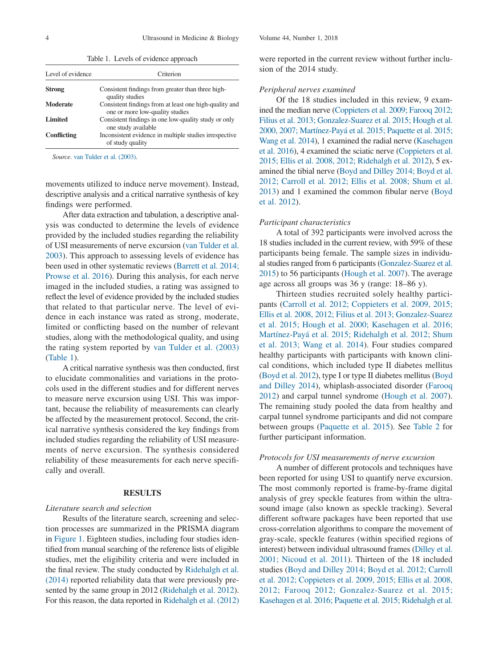<span id="page-4-0"></span>

| Level of evidence | Criterion                                                                                 |
|-------------------|-------------------------------------------------------------------------------------------|
| <b>Strong</b>     | Consistent findings from greater than three high-<br>quality studies                      |
| <b>Moderate</b>   | Consistent findings from at least one high-quality and<br>one or more low-quality studies |
| <b>Limited</b>    | Consistent findings in one low-quality study or only<br>one study available               |
| Conflicting       | Inconsistent evidence in multiple studies irrespective<br>of study quality                |

*Source*. [van Tulder et al. \(2003\).](#page-13-2)

movements utilized to induce nerve movement). Instead, descriptive analysis and a critical narrative synthesis of key findings were performed.

After data extraction and tabulation, a descriptive analysis was conducted to determine the levels of evidence provided by the included studies regarding the reliability of USI measurements of nerve excursion [\(van Tulder et al.](#page-13-2) [2003\)](#page-13-2). This approach to assessing levels of evidence has been used in other systematic reviews [\(Barrett et al. 2014;](#page-12-16) [Prowse et al. 2016\)](#page-12-16). During this analysis, for each nerve imaged in the included studies, a rating was assigned to reflect the level of evidence provided by the included studies that related to that particular nerve. The level of evidence in each instance was rated as strong, moderate, limited or conflicting based on the number of relevant studies, along with the methodological quality, and using the rating system reported by [van Tulder et al. \(2003\)](#page-13-2) [\(Table 1\)](#page-4-0).

A critical narrative synthesis was then conducted, first to elucidate commonalities and variations in the protocols used in the different studies and for different nerves to measure nerve excursion using USI. This was important, because the reliability of measurements can clearly be affected by the measurement protocol. Second, the critical narrative synthesis considered the key findings from included studies regarding the reliability of USI measurements of nerve excursion. The synthesis considered reliability of these measurements for each nerve specifically and overall.

## **RESULTS**

#### *Literature search and selection*

Results of the literature search, screening and selection processes are summarized in the PRISMA diagram in [Figure 1.](#page-3-0) Eighteen studies, including four studies identified from manual searching of the reference lists of eligible studies, met the eligibility criteria and were included in the final review. The study conducted by [Ridehalgh et al.](#page-13-3) [\(2014\)](#page-13-3) reported reliability data that were previously presented by the same group in 2012 [\(Ridehalgh et al. 2012\)](#page-13-1). For this reason, the data reported in [Ridehalgh et al. \(2012\)](#page-13-1) were reported in the current review without further inclusion of the 2014 study.

#### *Peripheral nerves examined*

Of the 18 studies included in this review, 9 examined the median nerve [\(Coppieters et al. 2009; Farooq 2012;](#page-12-3) [Filius et al. 2013; Gonzalez-Suarez et al. 2015; Hough et al.](#page-12-3) [2000, 2007; Martínez-Payá et al. 2015; Paquette et al. 2015;](#page-12-3) [Wang et al. 2014\)](#page-12-3), 1 examined the radial nerve [\(Kasehagen](#page-12-5) [et al. 2016\)](#page-12-5), 4 examined the sciatic nerve [\(Coppieters et al.](#page-12-6) [2015; Ellis et al. 2008, 2012; Ridehalgh et al. 2012\)](#page-12-6), 5 examined the tibial nerve [\(Boyd and Dilley 2014; Boyd et al.](#page-12-17) [2012; Carroll et al. 2012; Ellis et al. 2008; Shum et al.](#page-12-17) [2013\)](#page-12-17) and 1 examined the common fibular nerve [\(Boyd](#page-12-8) [et al. 2012\)](#page-12-8).

#### *Participant characteristics*

A total of 392 participants were involved across the 18 studies included in the current review, with 59% of these participants being female. The sample sizes in individual studies ranged from 6 participants [\(Gonzalez-Suarez et al.](#page-12-18) [2015\)](#page-12-18) to 56 participants [\(Hough et al. 2007\)](#page-12-19). The average age across all groups was 36 y (range: 18–86 y).

Thirteen studies recruited solely healthy participants [\(Carroll et al. 2012; Coppieters et al. 2009, 2015;](#page-12-7) [Ellis et al. 2008, 2012; Filius et al. 2013; Gonzalez-Suarez](#page-12-7) [et al. 2015; Hough et al. 2000; Kasehagen et al. 2016;](#page-12-7) [Martínez-Payá et al. 2015; Ridehalgh et al. 2012; Shum](#page-12-7) [et al. 2013; Wang et al. 2014\)](#page-12-7). Four studies compared healthy participants with participants with known clinical conditions, which included type II diabetes mellitus [\(Boyd et al. 2012\)](#page-12-8), type I or type II diabetes mellitus [\(Boyd](#page-12-17) [and Dilley 2014\)](#page-12-17), whiplash-associated disorder [\(Farooq](#page-12-20) [2012\)](#page-12-20) and carpal tunnel syndrome [\(Hough et al. 2007\)](#page-12-19). The remaining study pooled the data from healthy and carpal tunnel syndrome participants and did not compare between groups [\(Paquette et al. 2015\)](#page-12-21). See [Table 2](#page-5-0) for further participant information.

# *Protocols for USI measurements of nerve excursion*

A number of different protocols and techniques have been reported for using USI to quantify nerve excursion. The most commonly reported is frame-by-frame digital analysis of grey speckle features from within the ultrasound image (also known as speckle tracking). Several different software packages have been reported that use cross-correlation algorithms to compare the movement of gray-scale, speckle features (within specified regions of interest) between individual ultrasound frames [\(Dilley et al.](#page-12-22) [2001; Nicoud et al. 2011\)](#page-12-22). Thirteen of the 18 included studies [\(Boyd and Dilley 2014; Boyd et al. 2012; Carroll](#page-12-17) [et al. 2012; Coppieters et al. 2009, 2015; Ellis et al. 2008,](#page-12-17) [2012; Farooq 2012; Gonzalez-Suarez et al. 2015;](#page-12-17) [Kasehagen et al. 2016; Paquette et al. 2015; Ridehalgh et al.](#page-12-17)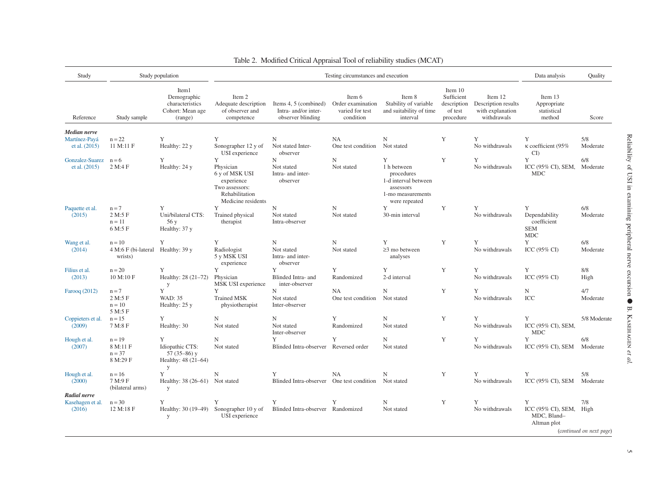<span id="page-5-0"></span>

| Study                      |                                  | Study population                                                       |                                                                                                     | Data analysis                                                      | Quality                                                     |                                                                                                      |                                                                |                                                                   |                                                            |                          |
|----------------------------|----------------------------------|------------------------------------------------------------------------|-----------------------------------------------------------------------------------------------------|--------------------------------------------------------------------|-------------------------------------------------------------|------------------------------------------------------------------------------------------------------|----------------------------------------------------------------|-------------------------------------------------------------------|------------------------------------------------------------|--------------------------|
| Reference                  | Study sample                     | Item1<br>Demographic<br>characteristics<br>Cohort: Mean age<br>(range) | Item 2<br>Adequate description<br>of observer and<br>competence                                     | Items 4, 5 (combined)<br>Intra- and/or inter-<br>observer blinding | Item 6<br>Order examination<br>varied for test<br>condition | Item 8<br>Stability of variable<br>and suitability of time<br>interval                               | Item $10$<br>Sufficient<br>description<br>of test<br>procedure | Item 12<br>Description results<br>with explanation<br>withdrawals | Item 13<br>Appropriate<br>statistical<br>method            | Score                    |
| Median nerve               |                                  |                                                                        |                                                                                                     |                                                                    |                                                             |                                                                                                      |                                                                |                                                                   |                                                            |                          |
| Martínez-Payá              | $n = 22$                         | Y                                                                      | Y                                                                                                   | N                                                                  | <b>NA</b>                                                   | N                                                                                                    | Y                                                              | Y                                                                 | Y                                                          | 5/8                      |
| et al. $(2015)$            | 11 M:11 F                        | Healthy: 22 y                                                          | Sonographer 12 y of<br>USI experience                                                               | Not stated Inter-<br>observer                                      | One test condition                                          | Not stated                                                                                           |                                                                | No withdrawals                                                    | $\kappa$ coefficient (95%<br>CI                            | Moderate                 |
| Gonzalez-Suarez $n = 6$    |                                  | Y                                                                      | Y                                                                                                   | N                                                                  | N                                                           | Y                                                                                                    | Y                                                              | Y                                                                 | Y                                                          | 6/8                      |
| et al. (2015)              | 2 M:4 F                          | Healthy: 24 y                                                          | Physician<br>6 y of MSK USI<br>experience<br>Two assessors:<br>Rehabilitation<br>Medicine residents | Not stated<br>Intra- and inter-<br>observer                        | Not stated                                                  | 1 h between<br>procedures<br>1-d interval between<br>assessors<br>1-mo measurements<br>were repeated |                                                                | No withdrawals                                                    | ICC (95% CI), SEM,<br>MDC                                  | Moderate                 |
| Paquette et al.            | $n = 7$                          | Y                                                                      | Y                                                                                                   | N                                                                  | N                                                           | Y                                                                                                    | Y                                                              | Y                                                                 | Y                                                          | 6/8                      |
| (2015)                     | 2 M:5 F<br>$n = 11$<br>6 M:5 F   | Uni/bilateral CTS:<br>56 y<br>Healthy: 37 y                            | Trained physical<br>therapist                                                                       | Not stated<br>Intra-observer                                       | Not stated                                                  | 30-min interval                                                                                      |                                                                | No withdrawals                                                    | Dependability<br>coefficient<br><b>SEM</b><br><b>MDC</b>   | Moderate                 |
| Wang et al.                | $n = 10$                         | Y                                                                      | Y                                                                                                   | N                                                                  | N                                                           | Y                                                                                                    | Y                                                              | Y                                                                 | Y                                                          | 6/8                      |
| (2014)                     | 4 M:6 F (bi-lateral<br>wrists)   | Healthy: 39 y                                                          | Radiologist<br>5 y MSK USI<br>experience                                                            | Not stated<br>Intra- and inter-<br>observer                        | Not stated                                                  | $\geq$ 3 mo between<br>analyses                                                                      |                                                                | No withdrawals                                                    | ICC $(95\% \text{ CI})$                                    | Moderate                 |
| Filius et al.              | $n = 20$                         | Y                                                                      | Y                                                                                                   | Y                                                                  | Y                                                           | Y                                                                                                    | Y                                                              | Y                                                                 | Y                                                          | 8/8                      |
| (2013)                     | 10 M:10 F                        | Healthy: 28 (21-72)<br>y                                               | Physician<br>MSK USI experience                                                                     | Blinded Intra- and<br>inter-observer                               | Randomized                                                  | 2-d interval                                                                                         |                                                                | No withdrawals                                                    | ICC $(95\% \text{ CI})$                                    | High                     |
| Farooq $(2012)$            | $n = 7$                          | Y                                                                      | Y                                                                                                   | N                                                                  | NA                                                          | N                                                                                                    | Y                                                              | Y                                                                 | N                                                          | 4/7                      |
|                            | 2 M:5 F<br>$n = 10$<br>5 M:5 F   | <b>WAD: 35</b><br>Healthy: $25y$                                       | <b>Trained MSK</b><br>physiotherapist                                                               | Not stated<br>Inter-observer                                       | One test condition                                          | Not stated                                                                                           |                                                                | No withdrawals                                                    | <b>ICC</b>                                                 | Moderate                 |
| Coppieters et al.          | $n = 15$                         | Y                                                                      | N                                                                                                   | N                                                                  | Y                                                           | N                                                                                                    | Y                                                              | Y                                                                 | Y                                                          | 5/8 Moderate             |
| (2009)                     | 7 M:8 F                          | Healthy: 30                                                            | Not stated                                                                                          | Not stated<br>Inter-observer                                       | Randomized                                                  | Not stated                                                                                           |                                                                | No withdrawals                                                    | ICC (95% CI), SEM,<br><b>MDC</b>                           |                          |
| Hough et al.               | $n = 19$                         | Y                                                                      | N                                                                                                   | Y                                                                  | Y                                                           | N                                                                                                    | Y                                                              | Y                                                                 | Y                                                          | 6/8                      |
| (2007)                     | 8 M:11 F<br>$n = 37$<br>8 M:29 F | Idiopathic CTS:<br>57 $(35-86)$ y<br>Healthy: 48 (21-64)<br>y          | Not stated                                                                                          | Blinded Intra-observer Reversed order                              |                                                             | Not stated                                                                                           |                                                                | No withdrawals                                                    | ICC (95% CI), SEM                                          | Moderate                 |
| Hough et al.               | $n = 16$                         | Y                                                                      | N                                                                                                   | Y                                                                  | <b>NA</b>                                                   | N                                                                                                    | Y                                                              | Y                                                                 | Y                                                          | 5/8                      |
| (2000)                     | 7 M:9 F<br>(bilateral arms)      | Healthy: $38(26-61)$ Not stated<br>y                                   |                                                                                                     | Blinded Intra-observer One test condition                          |                                                             | Not stated                                                                                           |                                                                | No withdrawals                                                    | ICC (95% CI), SEM                                          | Moderate                 |
| Radial nerve               |                                  |                                                                        |                                                                                                     |                                                                    |                                                             |                                                                                                      |                                                                |                                                                   |                                                            |                          |
| Kasehagen et al.<br>(2016) | $n = 30$<br>12 M:18 F            | Y<br>y                                                                 | Y<br>Healthy: 30 (19–49) Sonographer 10 y of<br>USI experience                                      | Y<br>Blinded Intra-observer Randomized                             | Y                                                           | N<br>Not stated                                                                                      | Y                                                              | Y<br>No withdrawals                                               | Y<br>ICC (95% CI), SEM, High<br>MDC, Bland-<br>Altman plot | 7/8                      |
|                            |                                  |                                                                        |                                                                                                     |                                                                    |                                                             |                                                                                                      |                                                                |                                                                   |                                                            | (continued on next page) |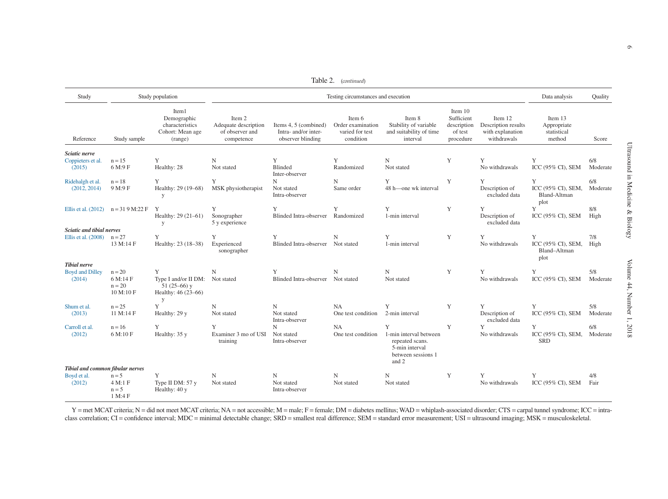| Study                                                   | Study population                              |                                                                               | Testing circumstances and execution                             |                                                                    |                                                             |                                                                                                 |                                                              |                                                                   |                                                 | Quality         |
|---------------------------------------------------------|-----------------------------------------------|-------------------------------------------------------------------------------|-----------------------------------------------------------------|--------------------------------------------------------------------|-------------------------------------------------------------|-------------------------------------------------------------------------------------------------|--------------------------------------------------------------|-------------------------------------------------------------------|-------------------------------------------------|-----------------|
| Reference                                               | Study sample                                  | Item1<br>Demographic<br>characteristics<br>Cohort: Mean age<br>(range)        | Item 2<br>Adequate description<br>of observer and<br>competence | Items 4, 5 (combined)<br>Intra- and/or inter-<br>observer blinding | Item 6<br>Order examination<br>varied for test<br>condition | Item 8<br>Stability of variable<br>and suitability of time<br>interval                          | Item 10<br>Sufficient<br>description<br>of test<br>procedure | Item 12<br>Description results<br>with explanation<br>withdrawals | Item 13<br>Appropriate<br>statistical<br>method | Score           |
| Sciatic nerve                                           |                                               |                                                                               |                                                                 |                                                                    |                                                             |                                                                                                 |                                                              |                                                                   |                                                 |                 |
| Coppieters et al.<br>(2015)                             | $n = 15$<br>6 M:9 F                           | Y<br>Healthy: 28                                                              | N<br>Not stated                                                 | Y<br>Blinded<br>Inter-observer                                     | Y<br>Randomized                                             | N<br>Not stated                                                                                 | Y                                                            | Y<br>No withdrawals                                               | Y<br>ICC (95% CI), SEM                          | 6/8<br>Moderate |
| Ridehalgh et al.<br>(2012, 2014)                        | $n = 18$<br>9 M:9 F                           | Y<br>Healthy: 29 (19-68)<br>y                                                 | Y<br>MSK physiotherapist                                        | N<br>Not stated<br>Intra-observer                                  | $\mathbf N$<br>Same order                                   | Y<br>48 h-one wk interval                                                                       | Y                                                            | Y<br>Description of<br>excluded data                              | Y<br>ICC (95% CI), SEM,<br>Bland-Altman         | 6/8<br>Moderate |
| Ellis et al. $(2012)$                                   | $n = 319 M:22 F$                              | Y<br>Healthy: 29 (21–61)<br>y                                                 | Y<br>Sonographer<br>5 y experience                              | Y<br>Blinded Intra-observer                                        | Y<br>Randomized                                             | Y<br>1-min interval                                                                             | Y                                                            | Y<br>Description of<br>excluded data                              | plot<br>Y<br>ICC (95% CI), SEM                  | 8/8<br>High     |
| <b>Sciatic and tibial nerves</b><br>Ellis et al. (2008) | $n = 27$<br>13 M:14 F                         | Y<br>Healthy: 23 (18-38)                                                      | Y<br>Experienced<br>sonographer                                 | Y<br>Blinded Intra-observer                                        | N<br>Not stated                                             | Y<br>1-min interval                                                                             | Y                                                            | Y<br>No withdrawals                                               | Y<br>ICC (95% CI), SEM,<br>Bland-Altman<br>plot | 7/8<br>High     |
| <b>Tibial nerve</b><br><b>Boyd and Dilley</b><br>(2014) | $n = 20$<br>6 M:14 F<br>$n = 20$<br>10 M:10 F | Y<br>Type I and/or II DM: Not stated<br>51 $(25-66)$ y<br>Healthy: 46 (23-66) | N                                                               | Y<br>Blinded Intra-observer                                        | N<br>Not stated                                             | N<br>Not stated                                                                                 | Y                                                            | Y<br>No withdrawals                                               | Y<br>ICC (95% CI), SEM                          | 5/8<br>Moderate |
| Shum et al.<br>(2013)                                   | $n = 25$<br>11 M:14 F                         | y<br>Y<br>Healthy: 29 y                                                       | N<br>Not stated                                                 | N<br>Not stated                                                    | <b>NA</b><br>One test condition                             | Y<br>2-min interval                                                                             | Y                                                            | Y<br>Description of<br>excluded data                              | Y<br>ICC (95% CI), SEM                          | 5/8<br>Moderate |
| Carroll et al.<br>(2012)                                | $n = 16$<br>6 M:10 F                          | Y<br>Healthy: 35 y                                                            | Y<br>Examiner 3 mo of USI<br>training                           | Intra-observer<br>N<br>Not stated<br>Intra-observer                | NA<br>One test condition                                    | Y<br>1-min interval between<br>repeated scans.<br>5-min interval<br>between sessions 1<br>and 2 | Y                                                            | Y<br>No withdrawals                                               | Y<br>ICC (95% CI), SEM, Moderate<br><b>SRD</b>  | 6/8             |
| Tibial and common fibular nerves<br>Boyd et al.         |                                               | Y                                                                             |                                                                 | N                                                                  | N                                                           |                                                                                                 | Y                                                            | Y                                                                 | Y                                               |                 |
| (2012)                                                  | $n = 5$<br>4 M:1 F<br>$n = 5$<br>1 M:4 F      | Type II DM: 57 y<br>Healthy: 40 y                                             | N<br>Not stated                                                 | Not stated<br>Intra-observer                                       | Not stated                                                  | N<br>Not stated                                                                                 |                                                              | No withdrawals                                                    | ICC (95% CI), SEM                               | 4/8<br>Fair     |

Y = met MCAT criteria; N = did not meet MCAT criteria; NA = not accessible; M = male; F = female; DM = diabetes mellitus; WAD = whiplash-associated disorder; CTS = carpal tunnel syndrome; ICC = intraclass correlation; CI <sup>=</sup> confidence interval; MDC <sup>=</sup> minimal detectable change; SRD <sup>=</sup> smallest real difference; SEM <sup>=</sup> standard error measurement; USI <sup>=</sup> ultrasound imaging; MSK <sup>=</sup> musculoskeletal.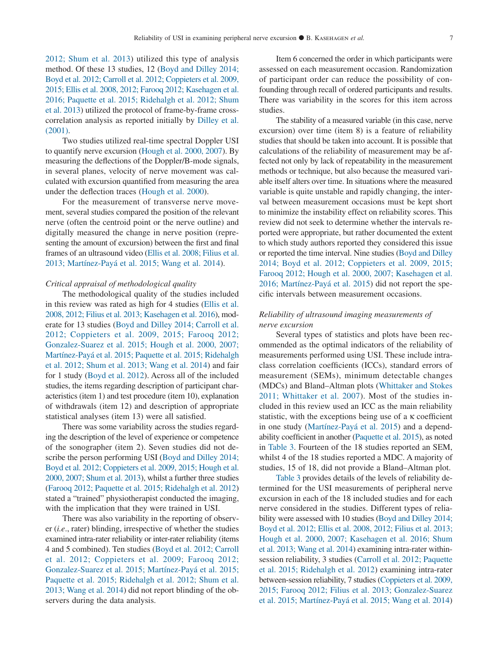2012; Shum et al. 2013) utilized this type of analysis method. Of these 13 studies, 12 [\(Boyd and Dilley 2014;](#page-12-17) [Boyd et al. 2012; Carroll et al. 2012; Coppieters et al. 2009,](#page-12-17) [2015; Ellis et al. 2008, 2012; Farooq 2012; Kasehagen et al.](#page-12-17) [2016; Paquette et al. 2015; Ridehalgh et al. 2012; Shum](#page-12-17) [et al. 2013\)](#page-12-17) utilized the protocol of frame-by-frame crosscorrelation analysis as reported initially by [Dilley et al.](#page-12-22) [\(2001\).](#page-12-22)

Two studies utilized real-time spectral Doppler USI to quantify nerve excursion [\(Hough et al. 2000, 2007\)](#page-12-38). By measuring the deflections of the Doppler/B-mode signals, in several planes, velocity of nerve movement was calculated with excursion quantified from measuring the area under the deflection traces [\(Hough et al. 2000\)](#page-12-38).

For the measurement of transverse nerve movement, several studies compared the position of the relevant nerve (often the centroid point or the nerve outline) and digitally measured the change in nerve position (representing the amount of excursion) between the first and final frames of an ultrasound video [\(Ellis et al. 2008; Filius et al.](#page-12-39) [2013; Martínez-Payá et al. 2015; Wang et al. 2014\)](#page-12-39).

#### *Critical appraisal of methodological quality*

The methodological quality of the studies included in this review was rated as high for 4 studies [\(Ellis et al.](#page-12-39) [2008, 2012; Filius et al. 2013; Kasehagen et al. 2016\)](#page-12-39), moderate for 13 studies [\(Boyd and Dilley 2014; Carroll et al.](#page-12-17) [2012; Coppieters et al. 2009, 2015; Farooq 2012;](#page-12-17) [Gonzalez-Suarez et al. 2015; Hough et al. 2000, 2007;](#page-12-17) [Martínez-Payá et al. 2015; Paquette et al. 2015; Ridehalgh](#page-12-17) [et al. 2012; Shum et al. 2013; Wang et al. 2014\)](#page-12-17) and fair for 1 study [\(Boyd et al. 2012\)](#page-12-8). Across all of the included studies, the items regarding description of participant characteristics (item 1) and test procedure (item 10), explanation of withdrawals (item 12) and description of appropriate statistical analyses (item 13) were all satisfied.

There was some variability across the studies regarding the description of the level of experience or competence of the sonographer (item 2). Seven studies did not describe the person performing USI [\(Boyd and Dilley 2014;](#page-12-17) [Boyd et al. 2012; Coppieters et al. 2009, 2015; Hough et al.](#page-12-17) [2000, 2007; Shum et al. 2013\)](#page-12-17), whilst a further three studies [\(Farooq 2012; Paquette et al. 2015; Ridehalgh et al. 2012\)](#page-12-20) stated a "trained" physiotherapist conducted the imaging, with the implication that they were trained in USI.

There was also variability in the reporting of observer (*i.e*., rater) blinding, irrespective of whether the studies examined intra-rater reliability or inter-rater reliability (items 4 and 5 combined). Ten studies [\(Boyd et al. 2012; Carroll](#page-12-8) [et al. 2012; Coppieters et al. 2009; Farooq 2012;](#page-12-8) [Gonzalez-Suarez et al. 2015; Martínez-Payá et al. 2015;](#page-12-8) [Paquette et al. 2015; Ridehalgh et al. 2012; Shum et al.](#page-12-8) [2013; Wang et al. 2014\)](#page-12-8) did not report blinding of the observers during the data analysis.

Item 6 concerned the order in which participants were assessed on each measurement occasion. Randomization of participant order can reduce the possibility of confounding through recall of ordered participants and results. There was variability in the scores for this item across studies.

The stability of a measured variable (in this case, nerve excursion) over time (item 8) is a feature of reliability studies that should be taken into account. It is possible that calculations of the reliability of measurement may be affected not only by lack of repeatability in the measurement methods or technique, but also because the measured variable itself alters over time. In situations where the measured variable is quite unstable and rapidly changing, the interval between measurement occasions must be kept short to minimize the instability effect on reliability scores. This review did not seek to determine whether the intervals reported were appropriate, but rather documented the extent to which study authors reported they considered this issue or reported the time interval. Nine studies [\(Boyd and Dilley](#page-12-17) [2014; Boyd et al. 2012; Coppieters et al. 2009, 2015;](#page-12-17) [Farooq 2012; Hough et al. 2000, 2007; Kasehagen et al.](#page-12-17) [2016; Martínez-Payá et al. 2015\)](#page-12-17) did not report the specific intervals between measurement occasions.

## *Reliability of ultrasound imaging measurements of nerve excursion*

Several types of statistics and plots have been recommended as the optimal indicators of the reliability of measurements performed using USI. These include intraclass correlation coefficients (ICCs), standard errors of measurement (SEMs), minimum detectable changes (MDCs) and Bland–Altman plots [\(Whittaker and Stokes](#page-13-7) [2011; Whittaker et al. 2007\)](#page-13-7). Most of the studies included in this review used an ICC as the main reliability statistic, with the exceptions being use of a κ coefficient in one study [\(Martínez-Payá et al. 2015\)](#page-12-40) and a dependability coefficient in another [\(Paquette et al. 2015\)](#page-12-21), as noted in [Table 3.](#page-8-0) Fourteen of the 18 studies reported an SEM, whilst 4 of the 18 studies reported a MDC. A majority of studies, 15 of 18, did not provide a Bland–Altman plot.

[Table 3](#page-8-0) provides details of the levels of reliability determined for the USI measurements of peripheral nerve excursion in each of the 18 included studies and for each nerve considered in the studies. Different types of reliability were assessed with 10 studies [\(Boyd and Dilley 2014;](#page-12-17) [Boyd et al. 2012; Ellis et al. 2008, 2012; Filius et al. 2013;](#page-12-17) [Hough et al. 2000, 2007; Kasehagen et al. 2016; Shum](#page-12-17) [et al. 2013; Wang et al. 2014\)](#page-12-17) examining intra-rater withinsession reliability, 3 studies [\(Carroll et al. 2012; Paquette](#page-12-7) [et al. 2015; Ridehalgh et al. 2012\)](#page-12-7) examining intra-rater between-session reliability, 7 studies [\(Coppieters et al. 2009,](#page-12-3) [2015; Farooq 2012; Filius et al. 2013; Gonzalez-Suarez](#page-12-3) [et al. 2015; Martínez-Payá et al. 2015; Wang et al. 2014\)](#page-12-3)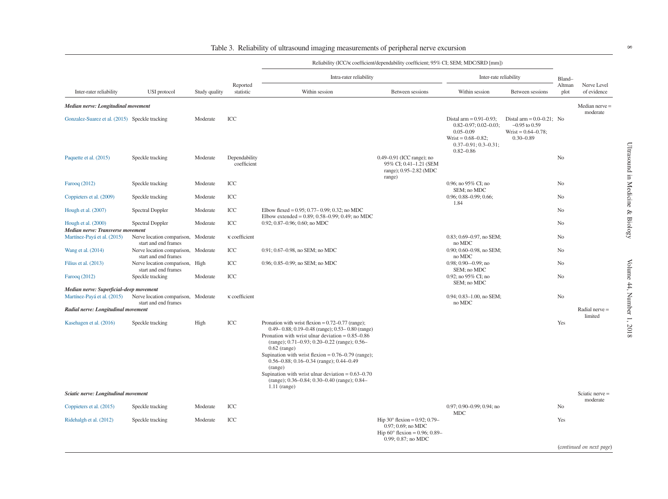|                                                          |                                                             |               |                              | Reliability (ICC/ $\kappa$ coefficient/dependability coefficient; 95% CI; SEM; MDC/SRD [mm])                                                                                                                                                                                                                                                                                                                                                                                                        |                                                                                                                                  | Bland-                                                                                                                                                     |                                                                                                 |                |                               |
|----------------------------------------------------------|-------------------------------------------------------------|---------------|------------------------------|-----------------------------------------------------------------------------------------------------------------------------------------------------------------------------------------------------------------------------------------------------------------------------------------------------------------------------------------------------------------------------------------------------------------------------------------------------------------------------------------------------|----------------------------------------------------------------------------------------------------------------------------------|------------------------------------------------------------------------------------------------------------------------------------------------------------|-------------------------------------------------------------------------------------------------|----------------|-------------------------------|
|                                                          |                                                             |               |                              | Intra-rater reliability                                                                                                                                                                                                                                                                                                                                                                                                                                                                             | Inter-rate reliability                                                                                                           |                                                                                                                                                            |                                                                                                 |                |                               |
| Inter-rater reliability                                  | USI protocol                                                | Study quality | Reported<br>statistic        | Within session                                                                                                                                                                                                                                                                                                                                                                                                                                                                                      | Between sessions                                                                                                                 | Within session                                                                                                                                             | Between sessions                                                                                | Altman<br>plot | Nerve Level<br>of evidence    |
| Median nerve: Longitudinal movement                      |                                                             |               |                              |                                                                                                                                                                                                                                                                                                                                                                                                                                                                                                     |                                                                                                                                  |                                                                                                                                                            |                                                                                                 |                | Median nerve $=$              |
| Gonzalez-Suarez et al. (2015) Speckle tracking           |                                                             | Moderate      | ICC                          |                                                                                                                                                                                                                                                                                                                                                                                                                                                                                                     |                                                                                                                                  | Distal arm $= 0.91 - 0.93$ :<br>$0.82 - 0.97; 0.02 - 0.03;$<br>$0.05 - 0.09$<br>Wrist = $0.68 - 0.82$ ;<br>$0.37 - 0.91$ ; $0.3 - 0.31$ ;<br>$0.82 - 0.86$ | Distal arm $= 0.0 - 0.21$ : No<br>$-0.95$ to $0.59$<br>$Wrist = 0.64 - 0.78$ ;<br>$0.30 - 0.89$ |                | moderate                      |
| Paquette et al. (2015)                                   | Speckle tracking                                            | Moderate      | Dependability<br>coefficient |                                                                                                                                                                                                                                                                                                                                                                                                                                                                                                     | 0.49-0.91 (ICC range); no<br>95% CI; 0.41-1.21 (SEM<br>range); 0.95-2.82 (MDC<br>range)                                          |                                                                                                                                                            |                                                                                                 | N <sub>o</sub> |                               |
| Farooq (2012)                                            | Speckle tracking                                            | Moderate      | ICC                          |                                                                                                                                                                                                                                                                                                                                                                                                                                                                                                     |                                                                                                                                  | 0.96; no 95% CI; no<br>SEM; no MDC                                                                                                                         |                                                                                                 | No             |                               |
| Coppieters et al. (2009)                                 | Speckle tracking                                            | Moderate      | ICC                          |                                                                                                                                                                                                                                                                                                                                                                                                                                                                                                     |                                                                                                                                  | $0.96; 0.88 - 0.99; 0.66;$<br>1.84                                                                                                                         |                                                                                                 | No             |                               |
| Hough et al. (2007)                                      | Spectral Doppler                                            | Moderate      | ICC                          | Elbow flexed = $0.95$ ; $0.77 - 0.99$ ; $0.32$ ; no MDC<br>Elbow extended = $0.89$ ; $0.58-0.99$ ; $0.49$ ; no MDC                                                                                                                                                                                                                                                                                                                                                                                  |                                                                                                                                  |                                                                                                                                                            |                                                                                                 | N <sub>o</sub> |                               |
| Hough et al. (2000)<br>Median nerve: Transverse movement | <b>Spectral Doppler</b>                                     | Moderate      | ICC                          | 0.92; 0.87-0.96; 0.60; no MDC                                                                                                                                                                                                                                                                                                                                                                                                                                                                       |                                                                                                                                  |                                                                                                                                                            |                                                                                                 | No             |                               |
| Martínez-Payá et al. (2015)                              | Nerve location comparison, Moderate<br>start and end frames |               | $\kappa$ coefficient         |                                                                                                                                                                                                                                                                                                                                                                                                                                                                                                     |                                                                                                                                  | $0.83; 0.69 - 0.97$ , no SEM;<br>no MDC                                                                                                                    |                                                                                                 | N <sub>o</sub> |                               |
| Wang et al. (2014)                                       | Nerve location comparison, Moderate<br>start and end frames |               | ICC                          | 0.91; 0.67-0.98, no SEM; no MDC                                                                                                                                                                                                                                                                                                                                                                                                                                                                     |                                                                                                                                  | 0.90; 0.60-0.98, no SEM;<br>no MDC                                                                                                                         |                                                                                                 | N <sub>o</sub> |                               |
| Filius et al. $(2013)$                                   | Nerve location comparison, High<br>start and end frames     |               | ICC                          | 0.96; 0.85-0.99; no SEM; no MDC                                                                                                                                                                                                                                                                                                                                                                                                                                                                     |                                                                                                                                  | $0.98; 0.90 - 0.99;$ no<br>SEM; no MDC                                                                                                                     |                                                                                                 | No             |                               |
| Farooq $(2012)$                                          | Speckle tracking                                            | Moderate      | ICC                          |                                                                                                                                                                                                                                                                                                                                                                                                                                                                                                     |                                                                                                                                  | 0.92; no 95% CI; no<br>SEM; no MDC                                                                                                                         |                                                                                                 | No             |                               |
| Median nerve: Superficial-deep movement                  |                                                             |               |                              |                                                                                                                                                                                                                                                                                                                                                                                                                                                                                                     |                                                                                                                                  |                                                                                                                                                            |                                                                                                 |                |                               |
| Martínez-Payá et al. (2015)                              | Nerve location comparison, Moderate<br>start and end frames |               | $\kappa$ coefficient         |                                                                                                                                                                                                                                                                                                                                                                                                                                                                                                     |                                                                                                                                  | 0.94; 0.83-1.00, no SEM;<br>no MDC                                                                                                                         |                                                                                                 | N <sub>o</sub> |                               |
| Radial nerve: Longitudinal movement                      |                                                             |               |                              |                                                                                                                                                                                                                                                                                                                                                                                                                                                                                                     |                                                                                                                                  |                                                                                                                                                            |                                                                                                 |                | Radial nerve $=$<br>limited   |
| Kasehagen et al. (2016)                                  | Speckle tracking                                            | High          | ICC                          | Pronation with wrist flexion = $0.72-0.77$ (range);<br>$0.49 - 0.88$ ; $0.19 - 0.48$ (range); $0.53 - 0.80$ (range)<br>Pronation with wrist ulnar deviation $= 0.85 - 0.86$<br>(range); 0.71-0.93; 0.20-0.22 (range); 0.56-<br>$0.62$ (range)<br>Supination with wrist flexion = $0.76-0.79$ (range);<br>$0.56 - 0.88$ ; $0.16 - 0.34$ (range); $0.44 - 0.49$<br>(range)<br>Supination with wrist ulnar deviation $= 0.63 - 0.70$<br>(range); 0.36-0.84; 0.30-0.40 (range); 0.84-<br>$1.11$ (range) |                                                                                                                                  |                                                                                                                                                            |                                                                                                 | Yes            |                               |
| Sciatic nerve: Longitudinal movement                     |                                                             |               |                              |                                                                                                                                                                                                                                                                                                                                                                                                                                                                                                     |                                                                                                                                  |                                                                                                                                                            |                                                                                                 |                | Sciatic nerve $=$<br>moderate |
| Coppieters et al. (2015)                                 | Speckle tracking                                            | Moderate      | ICC                          |                                                                                                                                                                                                                                                                                                                                                                                                                                                                                                     |                                                                                                                                  | $0.97; 0.90 - 0.99; 0.94;$ no<br><b>MDC</b>                                                                                                                |                                                                                                 | No             |                               |
| Ridehalgh et al. (2012)                                  | Speckle tracking                                            | Moderate      | ICC                          |                                                                                                                                                                                                                                                                                                                                                                                                                                                                                                     | Hip $30^{\circ}$ flexion = 0.92; 0.79–<br>$0.97: 0.69:$ no MDC<br>Hip $60^{\circ}$ flexion = 0.96; 0.89–<br>$0.99; 0.87;$ no MDC |                                                                                                                                                            |                                                                                                 | Yes            |                               |

# Table 3. Reliability of ultrasound imaging measurements of peripheral nerve excursion

 $\infty$ 

<span id="page-8-0"></span>(*continued on next page*)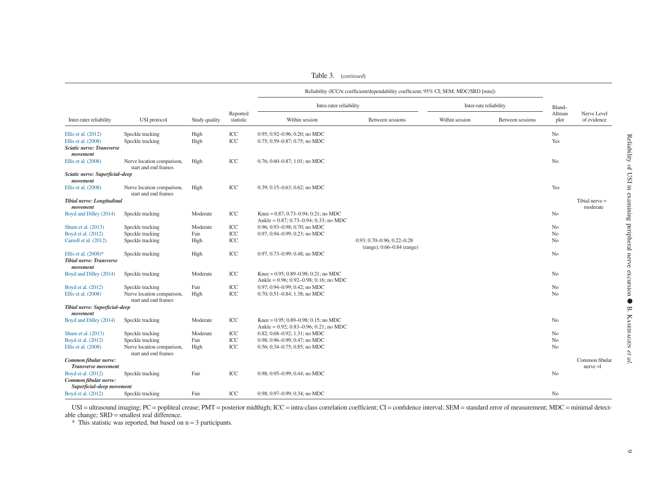Table 3. (*continued*)

<span id="page-9-0"></span>

|                                                                | USI protocol                                       |               | Reported<br>statistic | Reliability (ICC/ $\kappa$ coefficient/dependability coefficient; 95% CI; SEM; MDC/SRD [mm])        |                                                                |                |                  |                |                                  |
|----------------------------------------------------------------|----------------------------------------------------|---------------|-----------------------|-----------------------------------------------------------------------------------------------------|----------------------------------------------------------------|----------------|------------------|----------------|----------------------------------|
| Inter-rater reliability                                        |                                                    |               |                       | Intra-rater reliability                                                                             | Inter-rate reliability                                         | Bland-         |                  |                |                                  |
|                                                                |                                                    | Study quality |                       | Within session                                                                                      | Between sessions                                               | Within session | Between sessions | Altman<br>plot | Nerve Level<br>of evidence       |
| Ellis et al. (2012)                                            | Speckle tracking                                   | High          | ICC                   | 0.95; 0.92-0.96; 0.20; no MDC                                                                       |                                                                |                |                  | No             |                                  |
| Ellis et al. (2008)                                            | Speckle tracking                                   | High          | ICC                   | 0.75; 0.59-0.87; 0.75; no MDC                                                                       |                                                                |                |                  | Yes            |                                  |
| Sciatic nerve: Transverse<br>movement                          |                                                    |               |                       |                                                                                                     |                                                                |                |                  |                |                                  |
| Ellis et al. (2008)                                            | Nerve location comparison,<br>start and end frames | High          | ICC                   | 0.76; 0.60-0.87; 1.01; no MDC                                                                       |                                                                |                |                  | No             |                                  |
| Sciatic nerve: Superficial-deep<br>movement                    |                                                    |               |                       |                                                                                                     |                                                                |                |                  |                |                                  |
| Ellis et al. (2008)                                            | Nerve location comparison,<br>start and end frames | High          | ICC                   | $0.39; 0.15 - 0.63; 0.62;$ no MDC                                                                   |                                                                |                |                  | Yes            |                                  |
| Tibial nerve: Longitudinal<br>movement                         |                                                    |               |                       |                                                                                                     |                                                                |                |                  |                | Tibial nerve $=$<br>moderate     |
| Boyd and Dilley (2014)                                         | Speckle tracking                                   | Moderate      | ICC                   | Knee = $0.87$ ; $0.73-0.94$ ; $0.21$ ; no MDC<br>Ankle = $0.87$ ; $0.73-0.94$ ; $0.33$ ; no MDC     |                                                                |                |                  | N <sub>o</sub> |                                  |
| Shum et al. (2013)                                             | Speckle tracking                                   | Moderate      | ICC                   | 0.96; 0.93-0.98; 0.70; no MDC                                                                       |                                                                |                |                  | No             |                                  |
| Boyd et al. (2012)                                             | Speckle tracking                                   | Fair          | ICC                   | 0.97; 0.94-0.99; 0.23; no MDC                                                                       |                                                                |                |                  | No             |                                  |
| Carroll et al. (2012)                                          | Speckle tracking                                   | High          | ICC                   |                                                                                                     | $0.93; 0.70 - 0.96; 0.22 - 0.28$<br>(range); 0.66-0.84 (range) |                |                  | No             |                                  |
| Ellis et al. $(2008)*$<br>Tibial nerve: Transverse<br>movement | Speckle tracking                                   | High          | ICC                   | 0.97; 0.73-0.99; 0.48; no MDC                                                                       |                                                                |                |                  | No             |                                  |
| Boyd and Dilley (2014)                                         | Speckle tracking                                   | Moderate      | ICC                   | Knee = $0.95$ ; $0.89 - 0.98$ ; $0.21$ ; no MDC<br>Ankle = $0.96$ ; $0.92 - 0.98$ ; $0.16$ ; no MDC |                                                                |                |                  | No             |                                  |
| Boyd et al. (2012)                                             | Speckle tracking                                   | Fair          | ICC                   | $0.97; 0.94 - 0.99; 0.42;$ no MDC                                                                   |                                                                |                |                  | No             |                                  |
| Ellis et al. (2008)                                            | Nerve location comparison,<br>start and end frames | High          | ICC                   | $0.70; 0.51 - 0.84; 1.38;$ no MDC                                                                   |                                                                |                |                  | N <sub>o</sub> |                                  |
| Tibial nerve: Superficial-deep                                 |                                                    |               |                       |                                                                                                     |                                                                |                |                  |                |                                  |
| movement                                                       |                                                    |               |                       |                                                                                                     |                                                                |                |                  |                |                                  |
| Boyd and Dilley (2014)                                         | Speckle tracking                                   | Moderate      | ICC                   | Knee = $0.95$ ; $0.89 - 0.98$ ; $0.15$ ; no MDC<br>Ankle = $0.92$ ; $0.83-0.96$ ; $0.21$ ; no MDC   |                                                                |                |                  | No             |                                  |
| Shum et al. (2013)                                             | Speckle tracking                                   | Moderate      | ICC                   | $0.82; 0.68 - 0.92; 1.31;$ no MDC                                                                   |                                                                |                |                  | No             |                                  |
| Boyd et al. (2012)                                             | Speckle tracking                                   | Fair          | ICC                   | 0.98; 0.96-0.99; 0.47; no MDC                                                                       |                                                                |                |                  | No             |                                  |
| Ellis et al. (2008)                                            | Nerve location comparison,<br>start and end frames | High          | ICC                   | $0.56$ ; $0.34 - 0.75$ ; $0.85$ ; no MDC                                                            |                                                                |                |                  | No             |                                  |
| Common fibular nerve:<br><b>Transverse</b> movement            |                                                    |               |                       |                                                                                                     |                                                                |                |                  |                | Common fibular<br>$n$ erve $=$ l |
| Boyd et al. (2012)                                             | Speckle tracking                                   | Fair          | ICC                   | 0.98; 0.95-0.99; 0.44; no MDC                                                                       |                                                                |                |                  | No             |                                  |
| Common fibular nerve:<br>Superficial-deep movement             |                                                    |               |                       |                                                                                                     |                                                                |                |                  |                |                                  |
| Boyd et al. (2012)                                             | Speckle tracking                                   | Fair          | ICC                   | 0.98; 0.97-0.99; 0.34; no MDC                                                                       |                                                                |                |                  | No             |                                  |

USI = ultrasound imaging; PC = popliteal crease; PMT = posterior midthigh; ICC = intra-class correlation coefficient; CI = confidence interval; SEM = standard error of measurement; MDC = minimal detectable change; SRD <sup>=</sup> smallest real difference.

 $*$  This statistic was reported, but based on  $n = 3$  participants.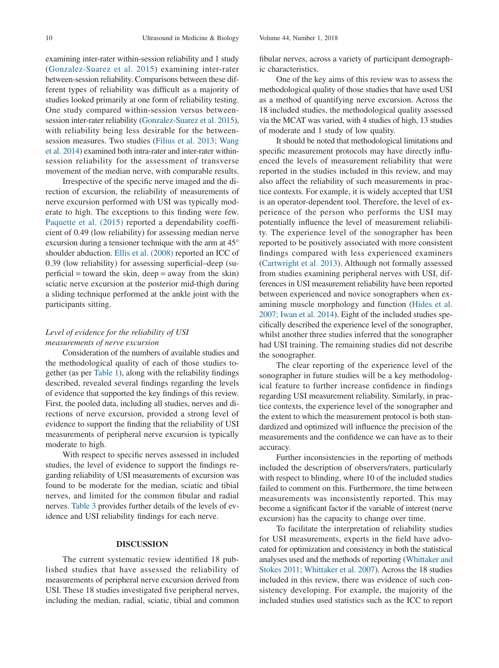examining inter-rater within-session reliability and 1 study [\(Gonzalez-Suarez et al. 2015\)](#page-12-18) examining inter-rater between-session reliability. Comparisons between these different types of reliability was difficult as a majority of studies looked primarily at one form of reliability testing. One study compared within-session versus betweensession inter-rater reliability [\(Gonzalez-Suarez et al. 2015\)](#page-12-18), with reliability being less desirable for the betweensession measures. Two studies [\(Filius et al. 2013; Wang](#page-12-1) [et al. 2014\)](#page-12-1) examined both intra-rater and inter-rater withinsession reliability for the assessment of transverse movement of the median nerve, with comparable results.

Irrespective of the specific nerve imaged and the direction of excursion, the reliability of measurements of nerve excursion performed with USI was typically moderate to high. The exceptions to this finding were few. [Paquette et al. \(2015\)](#page-12-21) reported a dependability coefficient of 0.49 (low reliability) for assessing median nerve excursion during a tensioner technique with the arm at 45° shoulder abduction. [Ellis et al. \(2008\)](#page-12-39) reported an ICC of 0.39 (low reliability) for assessing superficial–deep (su $perficial = toward the skin, deep = away from the skin)$ sciatic nerve excursion at the posterior mid-thigh during a sliding technique performed at the ankle joint with the participants sitting.

# *Level of evidence for the reliability of USI measurements of nerve excursion*

Consideration of the numbers of available studies and the methodological quality of each of those studies together (as per [Table 1\)](#page-4-0), along with the reliability findings described, revealed several findings regarding the levels of evidence that supported the key findings of this review. First, the pooled data, including all studies, nerves and directions of nerve excursion, provided a strong level of evidence to support the finding that the reliability of USI measurements of peripheral nerve excursion is typically moderate to high.

With respect to specific nerves assessed in included studies, the level of evidence to support the findings regarding reliability of USI measurements of excursion was found to be moderate for the median, sciatic and tibial nerves, and limited for the common fibular and radial nerves. [Table 3](#page-8-0) provides further details of the levels of evidence and USI reliability findings for each nerve.

# **DISCUSSION**

The current systematic review identified 18 published studies that have assessed the reliability of measurements of peripheral nerve excursion derived from USI. These 18 studies investigated five peripheral nerves, including the median, radial, sciatic, tibial and common

fibular nerves, across a variety of participant demographic characteristics.

One of the key aims of this review was to assess the methodological quality of those studies that have used USI as a method of quantifying nerve excursion. Across the 18 included studies, the methodological quality assessed via the MCAT was varied, with 4 studies of high, 13 studies of moderate and 1 study of low quality.

It should be noted that methodological limitations and specific measurement protocols may have directly influenced the levels of measurement reliability that were reported in the studies included in this review, and may also affect the reliability of such measurements in practice contexts. For example, it is widely accepted that USI is an operator-dependent tool. Therefore, the level of experience of the person who performs the USI may potentially influence the level of measurement reliability. The experience level of the sonographer has been reported to be positively associated with more consistent findings compared with less experienced examiners [\(Cartwright et al. 2013\)](#page-12-41). Although not formally assessed from studies examining peripheral nerves with USI, differences in USI measurement reliability have been reported between experienced and novice sonographers when examining muscle morphology and function [\(Hides et al.](#page-12-42) [2007; Iwan et al. 2014\)](#page-12-42). Eight of the included studies specifically described the experience level of the sonographer, whilst another three studies inferred that the sonographer had USI training. The remaining studies did not describe the sonographer.

The clear reporting of the experience level of the sonographer in future studies will be a key methodological feature to further increase confidence in findings regarding USI measurement reliability. Similarly, in practice contexts, the experience level of the sonographer and the extent to which the measurement protocol is both standardized and optimized will influence the precision of the measurements and the confidence we can have as to their accuracy.

Further inconsistencies in the reporting of methods included the description of observers/raters, particularly with respect to blinding, where 10 of the included studies failed to comment on this. Furthermore, the time between measurements was inconsistently reported. This may become a significant factor if the variable of interest (nerve excursion) has the capacity to change over time.

To facilitate the interpretation of reliability studies for USI measurements, experts in the field have advocated for optimization and consistency in both the statistical analyses used and the methods of reporting [\(Whittaker and](#page-13-7) [Stokes 2011; Whittaker et al. 2007\)](#page-13-7). Across the 18 studies included in this review, there was evidence of such consistency developing. For example, the majority of the included studies used statistics such as the ICC to report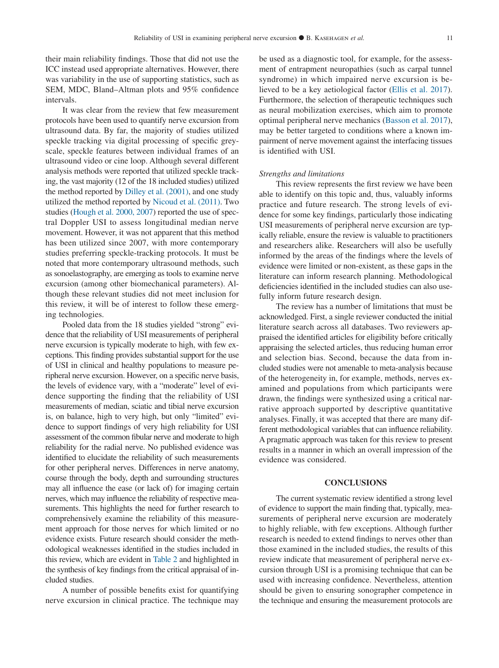their main reliability findings. Those that did not use the ICC instead used appropriate alternatives. However, there was variability in the use of supporting statistics, such as SEM, MDC, Bland–Altman plots and 95% confidence intervals.

It was clear from the review that few measurement protocols have been used to quantify nerve excursion from ultrasound data. By far, the majority of studies utilized speckle tracking via digital processing of specific greyscale, speckle features between individual frames of an ultrasound video or cine loop. Although several different analysis methods were reported that utilized speckle tracking, the vast majority (12 of the 18 included studies) utilized the method reported by [Dilley et al. \(2001\),](#page-12-22) and one study utilized the method reported by [Nicoud et al. \(2011\).](#page-12-43) Two studies [\(Hough et al. 2000, 2007\)](#page-12-38) reported the use of spectral Doppler USI to assess longitudinal median nerve movement. However, it was not apparent that this method has been utilized since 2007, with more contemporary studies preferring speckle-tracking protocols. It must be noted that more contemporary ultrasound methods, such as sonoelastography, are emerging as tools to examine nerve excursion (among other biomechanical parameters). Although these relevant studies did not meet inclusion for this review, it will be of interest to follow these emerging technologies.

Pooled data from the 18 studies yielded "strong" evidence that the reliability of USI measurements of peripheral nerve excursion is typically moderate to high, with few exceptions. This finding provides substantial support for the use of USI in clinical and healthy populations to measure peripheral nerve excursion. However, on a specific nerve basis, the levels of evidence vary, with a "moderate" level of evidence supporting the finding that the reliability of USI measurements of median, sciatic and tibial nerve excursion is, on balance, high to very high, but only "limited" evidence to support findings of very high reliability for USI assessment of the common fibular nerve and moderate to high reliability for the radial nerve. No published evidence was identified to elucidate the reliability of such measurements for other peripheral nerves. Differences in nerve anatomy, course through the body, depth and surrounding structures may all influence the ease (or lack of) for imaging certain nerves, which may influence the reliability of respective measurements. This highlights the need for further research to comprehensively examine the reliability of this measurement approach for those nerves for which limited or no evidence exists. Future research should consider the methodological weaknesses identified in the studies included in this review, which are evident in [Table 2](#page-5-0) and highlighted in the synthesis of key findings from the critical appraisal of included studies.

A number of possible benefits exist for quantifying nerve excursion in clinical practice. The technique may

be used as a diagnostic tool, for example, for the assessment of entrapment neuropathies (such as carpal tunnel syndrome) in which impaired nerve excursion is believed to be a key aetiological factor [\(Ellis et al. 2017\)](#page-12-2). Furthermore, the selection of therapeutic techniques such as neural mobilization exercises, which aim to promote optimal peripheral nerve mechanics [\(Basson et al. 2017\)](#page-12-44), may be better targeted to conditions where a known impairment of nerve movement against the interfacing tissues is identified with USI.

#### *Strengths and limitations*

This review represents the first review we have been able to identify on this topic and, thus, valuably informs practice and future research. The strong levels of evidence for some key findings, particularly those indicating USI measurements of peripheral nerve excursion are typically reliable, ensure the review is valuable to practitioners and researchers alike. Researchers will also be usefully informed by the areas of the findings where the levels of evidence were limited or non-existent, as these gaps in the literature can inform research planning. Methodological deficiencies identified in the included studies can also usefully inform future research design.

The review has a number of limitations that must be acknowledged. First, a single reviewer conducted the initial literature search across all databases. Two reviewers appraised the identified articles for eligibility before critically appraising the selected articles, thus reducing human error and selection bias. Second, because the data from included studies were not amenable to meta-analysis because of the heterogeneity in, for example, methods, nerves examined and populations from which participants were drawn, the findings were synthesized using a critical narrative approach supported by descriptive quantitative analyses. Finally, it was accepted that there are many different methodological variables that can influence reliability. A pragmatic approach was taken for this review to present results in a manner in which an overall impression of the evidence was considered.

#### **CONCLUSIONS**

The current systematic review identified a strong level of evidence to support the main finding that, typically, measurements of peripheral nerve excursion are moderately to highly reliable, with few exceptions. Although further research is needed to extend findings to nerves other than those examined in the included studies, the results of this review indicate that measurement of peripheral nerve excursion through USI is a promising technique that can be used with increasing confidence. Nevertheless, attention should be given to ensuring sonographer competence in the technique and ensuring the measurement protocols are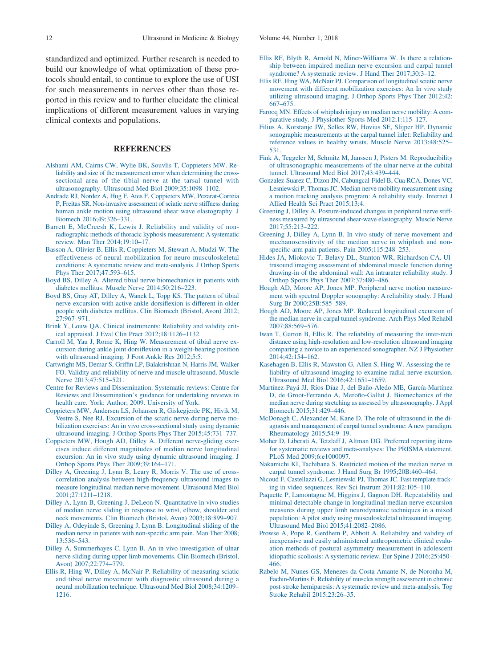<span id="page-12-34"></span>standardized and optimized. Further research is needed to build our knowledge of what optimization of these protocols should entail, to continue to explore the use of USI for such measurements in nerves other than those reported in this review and to further elucidate the clinical implications of different measurement values in varying clinical contexts and populations.

#### **REFERENCES**

- <span id="page-12-10"></span>[Alshami AM, Cairns CW, Wylie BK, Souvlis T, Coppieters MW. Re](http://refhub.elsevier.com/S0301-5629(17)32247-0/sr0010)[liability and size of the measurement error when determining the cross](http://refhub.elsevier.com/S0301-5629(17)32247-0/sr0010)[sectional area of the tibial nerve at the tarsal tunnel with](http://refhub.elsevier.com/S0301-5629(17)32247-0/sr0010) [ultrasonography. Ultrasound Med Biol 2009;35:1098–1102.](http://refhub.elsevier.com/S0301-5629(17)32247-0/sr0010)
- <span id="page-12-9"></span>[Andrade RJ, Nordez A, Hug F, Ates F, Coppieters MW, Pezarat-Correia](http://refhub.elsevier.com/S0301-5629(17)32247-0/sr0015) [P, Freitas SR. Non-invasive assessment of sciatic nerve stiffness during](http://refhub.elsevier.com/S0301-5629(17)32247-0/sr0015) [human ankle motion using ultrasound shear wave elastography. J](http://refhub.elsevier.com/S0301-5629(17)32247-0/sr0015) [Biomech 2016;49:326–331.](http://refhub.elsevier.com/S0301-5629(17)32247-0/sr0015)
- <span id="page-12-16"></span>[Barrett E, McCreesh K, Lewis J. Reliability and validity of non](http://refhub.elsevier.com/S0301-5629(17)32247-0/sr0020)[radiographic methods of thoracic kyphosis measurement: A systematic](http://refhub.elsevier.com/S0301-5629(17)32247-0/sr0020) [review. Man Ther 2014;19:10–17.](http://refhub.elsevier.com/S0301-5629(17)32247-0/sr0020)
- <span id="page-12-44"></span>[Basson A, Olivier B, Ellis R, Coppieters M, Stewart A, Mudzi W. The](http://refhub.elsevier.com/S0301-5629(17)32247-0/sr0025) [effectiveness of neural mobilization for neuro-musculoskeletal](http://refhub.elsevier.com/S0301-5629(17)32247-0/sr0025) [conditions: A systematic review and meta-analysis. J Orthop Sports](http://refhub.elsevier.com/S0301-5629(17)32247-0/sr0025) [Phys Ther 2017;47:593–615.](http://refhub.elsevier.com/S0301-5629(17)32247-0/sr0025)
- <span id="page-12-17"></span>[Boyd BS, Dilley A. Altered tibial nerve biomechanics in patients with](http://refhub.elsevier.com/S0301-5629(17)32247-0/sr0030) [diabetes mellitus. Muscle Nerve 2014;50:216–223.](http://refhub.elsevier.com/S0301-5629(17)32247-0/sr0030)
- <span id="page-12-8"></span>[Boyd BS, Gray AT, Dilley A, Wanek L, Topp KS. The pattern of tibial](http://refhub.elsevier.com/S0301-5629(17)32247-0/sr0035) [nerve excursion with active ankle dorsiflexion is different in older](http://refhub.elsevier.com/S0301-5629(17)32247-0/sr0035) [people with diabetes mellitus. Clin Biomech \(Bristol, Avon\) 2012;](http://refhub.elsevier.com/S0301-5629(17)32247-0/sr0035) [27:967–971.](http://refhub.elsevier.com/S0301-5629(17)32247-0/sr0035)
- <span id="page-12-13"></span>[Brink Y, Louw QA. Clinical instruments: Reliability and validity crit](http://refhub.elsevier.com/S0301-5629(17)32247-0/sr0040)[ical appraisal. J Eval Clin Pract 2012;18:1126–1132.](http://refhub.elsevier.com/S0301-5629(17)32247-0/sr0040)
- <span id="page-12-7"></span>[Carroll M, Yau J, Rome K, Hing W. Measurement of tibial nerve ex](http://refhub.elsevier.com/S0301-5629(17)32247-0/sr0045)[cursion during ankle joint dorsiflexion in a weight-bearing position](http://refhub.elsevier.com/S0301-5629(17)32247-0/sr0045) [with ultrasound imaging. J Foot Ankle Res 2012;5:5.](http://refhub.elsevier.com/S0301-5629(17)32247-0/sr0045)
- <span id="page-12-41"></span>[Cartwright MS, Demar S, Griffin LP, Balakrishnan N, Harris JM, Walker](http://refhub.elsevier.com/S0301-5629(17)32247-0/sr0050) [FO. Validity and reliability of nerve and muscle ultrasound. Muscle](http://refhub.elsevier.com/S0301-5629(17)32247-0/sr0050) [Nerve 2013;47:515–521.](http://refhub.elsevier.com/S0301-5629(17)32247-0/sr0050)
- <span id="page-12-11"></span>[Centre for Reviews and Dissemination. Systematic reviews: Centre for](http://refhub.elsevier.com/S0301-5629(17)32247-0/sr0055) [Reviews and Dissemination's guidance for undertaking reviews in](http://refhub.elsevier.com/S0301-5629(17)32247-0/sr0055) [health care. York: Author; 2009. University of York.](http://refhub.elsevier.com/S0301-5629(17)32247-0/sr0055)
- <span id="page-12-6"></span>[Coppieters MW, Andersen LS, Johansen R, Giskegjerde PK, Hivik M,](http://refhub.elsevier.com/S0301-5629(17)32247-0/sr0060) [Vestre S, Nee RJ. Excursion of the sciatic nerve during nerve mo](http://refhub.elsevier.com/S0301-5629(17)32247-0/sr0060)[bilization exercises: An in vivo cross-sectional study using dynamic](http://refhub.elsevier.com/S0301-5629(17)32247-0/sr0060) [ultrasound imaging. J Orthop Sports Phys Ther 2015;45:731–737.](http://refhub.elsevier.com/S0301-5629(17)32247-0/sr0060)
- <span id="page-12-3"></span>[Coppieters MW, Hough AD, Dilley A. Different nerve-gliding exer](http://refhub.elsevier.com/S0301-5629(17)32247-0/sr0065)[cises induce different magnitudes of median nerve longitudinal](http://refhub.elsevier.com/S0301-5629(17)32247-0/sr0065) [excursion: An in vivo study using dynamic ultrasound imaging. J](http://refhub.elsevier.com/S0301-5629(17)32247-0/sr0065) [Orthop Sports Phys Ther 2009;39:164–171.](http://refhub.elsevier.com/S0301-5629(17)32247-0/sr0065)
- <span id="page-12-22"></span>[Dilley A, Greening J, Lynn B, Leary R, Morris V. The use of cross](http://refhub.elsevier.com/S0301-5629(17)32247-0/sr0070)[correlation analysis between high-frequency ultrasound images to](http://refhub.elsevier.com/S0301-5629(17)32247-0/sr0070) [measure longitudinal median nerve movement. Ultrasound Med Biol](http://refhub.elsevier.com/S0301-5629(17)32247-0/sr0070) [2001;27:1211–1218.](http://refhub.elsevier.com/S0301-5629(17)32247-0/sr0070)
- [Dilley A, Lynn B, Greening J, DeLeon N. Quantitative in vivo studies](http://refhub.elsevier.com/S0301-5629(17)32247-0/sr0075) [of median nerve sliding in response to wrist, elbow, shoulder and](http://refhub.elsevier.com/S0301-5629(17)32247-0/sr0075) [neck movements. Clin Biomech \(Bristol, Avon\) 2003;18:899–907.](http://refhub.elsevier.com/S0301-5629(17)32247-0/sr0075)
- <span id="page-12-0"></span>[Dilley A, Odeyinde S, Greening J, Lynn B. Longitudinal sliding of the](http://refhub.elsevier.com/S0301-5629(17)32247-0/sr0080) [median nerve in patients with non-specific arm pain. Man Ther 2008;](http://refhub.elsevier.com/S0301-5629(17)32247-0/sr0080) [13:536–543.](http://refhub.elsevier.com/S0301-5629(17)32247-0/sr0080)
- <span id="page-12-4"></span>[Dilley A, Summerhayes C, Lynn B. An in vivo investigation of ulnar](http://refhub.elsevier.com/S0301-5629(17)32247-0/sr0085) [nerve sliding during upper limb movements. Clin Biomech \(Bristol,](http://refhub.elsevier.com/S0301-5629(17)32247-0/sr0085) [Avon\) 2007;22:774–779.](http://refhub.elsevier.com/S0301-5629(17)32247-0/sr0085)
- <span id="page-12-39"></span>[Ellis R, Hing W, Dilley A, McNair P. Reliability of measuring sciatic](http://refhub.elsevier.com/S0301-5629(17)32247-0/sr0090) [and tibial nerve movement with diagnostic ultrasound during a](http://refhub.elsevier.com/S0301-5629(17)32247-0/sr0090) [neural mobilization technique. Ultrasound Med Biol 2008;34:1209–](http://refhub.elsevier.com/S0301-5629(17)32247-0/sr0090) [1216.](http://refhub.elsevier.com/S0301-5629(17)32247-0/sr0090)
- <span id="page-12-37"></span><span id="page-12-36"></span><span id="page-12-35"></span><span id="page-12-32"></span><span id="page-12-28"></span><span id="page-12-2"></span>[Ellis RF, Blyth R, Arnold N, Miner-Williams W. Is there a relation](http://refhub.elsevier.com/S0301-5629(17)32247-0/sr0095)[ship between impaired median nerve excursion and carpal tunnel](http://refhub.elsevier.com/S0301-5629(17)32247-0/sr0095) [syndrome? A systematic review. J Hand Ther 2017;30:3–12.](http://refhub.elsevier.com/S0301-5629(17)32247-0/sr0095)
- [Ellis RF, Hing WA, McNair PJ. Comparison of longitudinal sciatic nerve](http://refhub.elsevier.com/S0301-5629(17)32247-0/sr0100) [movement with different mobilization exercises: An In vivo study](http://refhub.elsevier.com/S0301-5629(17)32247-0/sr0100) [utilizing ultrasound imaging. J Orthop Sports Phys Ther 2012;42:](http://refhub.elsevier.com/S0301-5629(17)32247-0/sr0100) [667–675.](http://refhub.elsevier.com/S0301-5629(17)32247-0/sr0100)
- <span id="page-12-20"></span>[Farooq MN. Effects of whiplash injury on median nerve mobility: A com](http://refhub.elsevier.com/S0301-5629(17)32247-0/sr0105)[parative study. J Physiother Sports Med 2012;1:115–127.](http://refhub.elsevier.com/S0301-5629(17)32247-0/sr0105)
- <span id="page-12-1"></span>[Filius A, Korstanje JW, Selles RW, Hovius SE, Slijper HP. Dynamic](http://refhub.elsevier.com/S0301-5629(17)32247-0/sr0110) [sonographic measurements at the carpal tunnel inlet: Reliability and](http://refhub.elsevier.com/S0301-5629(17)32247-0/sr0110) [reference values in healthy wrists. Muscle Nerve 2013;48:525–](http://refhub.elsevier.com/S0301-5629(17)32247-0/sr0110) [531.](http://refhub.elsevier.com/S0301-5629(17)32247-0/sr0110)
- [Fink A, Teggeler M, Schmitz M, Janssen J, Pisters M. Reproducibility](http://refhub.elsevier.com/S0301-5629(17)32247-0/sr0115) [of ultrasonographic measurements of the ulnar nerve at the cubital](http://refhub.elsevier.com/S0301-5629(17)32247-0/sr0115) [tunnel. Ultrasound Med Biol 2017;43:439–444.](http://refhub.elsevier.com/S0301-5629(17)32247-0/sr0115)
- <span id="page-12-18"></span>[Gonzalez-Suarez C, Dizon JN, Cabungcal-Fidel B, Cua RCA, Dones VC,](http://refhub.elsevier.com/S0301-5629(17)32247-0/sr0120) [Lesniewski P, Thomas JC. Median nerve mobility measurement using](http://refhub.elsevier.com/S0301-5629(17)32247-0/sr0120) [a motion tracking analysis program: A reliability study. Internet J](http://refhub.elsevier.com/S0301-5629(17)32247-0/sr0120) [Allied Health Sci Pract 2015;13:4.](http://refhub.elsevier.com/S0301-5629(17)32247-0/sr0120)
- [Greening J, Dilley A. Posture-induced changes in peripheral nerve stiff](http://refhub.elsevier.com/S0301-5629(17)32247-0/sr0125)[ness measured by ultrasound shear-wave elastography. Muscle Nerve](http://refhub.elsevier.com/S0301-5629(17)32247-0/sr0125) [2017;55:213–222.](http://refhub.elsevier.com/S0301-5629(17)32247-0/sr0125)
- [Greening J, Dilley A, Lynn B. In vivo study of nerve movement and](http://refhub.elsevier.com/S0301-5629(17)32247-0/sr0130) [mechanosensitivity of the median nerve in whiplash and non](http://refhub.elsevier.com/S0301-5629(17)32247-0/sr0130)[specific arm pain patients. Pain 2005;115:248–253.](http://refhub.elsevier.com/S0301-5629(17)32247-0/sr0130)
- <span id="page-12-42"></span><span id="page-12-33"></span><span id="page-12-31"></span><span id="page-12-30"></span><span id="page-12-29"></span><span id="page-12-27"></span><span id="page-12-26"></span><span id="page-12-25"></span><span id="page-12-24"></span><span id="page-12-23"></span>[Hides JA, Miokovic T, Belavy DL, Stanton WR, Richardson CA. Ul](http://refhub.elsevier.com/S0301-5629(17)32247-0/sr0135)[trasound imaging assessment of abdominal muscle function during](http://refhub.elsevier.com/S0301-5629(17)32247-0/sr0135) [drawing-in of the abdominal wall: An intrarater reliability study. J](http://refhub.elsevier.com/S0301-5629(17)32247-0/sr0135) [Orthop Sports Phys Ther 2007;37:480–486.](http://refhub.elsevier.com/S0301-5629(17)32247-0/sr0135)
- <span id="page-12-38"></span>[Hough AD, Moore AP, Jones MP. Peripheral nerve motion measure](http://refhub.elsevier.com/S0301-5629(17)32247-0/sr0140)[ment with spectral Doppler sonography: A reliability study. J Hand](http://refhub.elsevier.com/S0301-5629(17)32247-0/sr0140) [Surg Br 2000;25B:585–589.](http://refhub.elsevier.com/S0301-5629(17)32247-0/sr0140)
- <span id="page-12-19"></span>[Hough AD, Moore AP, Jones MP. Reduced longitudinal excursion of](http://refhub.elsevier.com/S0301-5629(17)32247-0/sr0145) [the median nerve in carpal tunnel syndrome. Arch Phys Med Rehabil](http://refhub.elsevier.com/S0301-5629(17)32247-0/sr0145) [2007;88:569–576.](http://refhub.elsevier.com/S0301-5629(17)32247-0/sr0145)
- [Iwan T, Garton B, Ellis R. The reliability of measuring the inter-recti](http://refhub.elsevier.com/S0301-5629(17)32247-0/sr0150) [distance using high-resolution and low-resolution ultrasound imaging](http://refhub.elsevier.com/S0301-5629(17)32247-0/sr0150) [comparing a novice to an experienced sonographer. NZ J Physiother](http://refhub.elsevier.com/S0301-5629(17)32247-0/sr0150) [2014;42:154–162.](http://refhub.elsevier.com/S0301-5629(17)32247-0/sr0150)
- <span id="page-12-5"></span>[Kasehagen B, Ellis R, Mawston G, Allen S, Hing W. Assessing the re](http://refhub.elsevier.com/S0301-5629(17)32247-0/sr0155)[liability of ultrasound imaging to examine radial nerve excursion.](http://refhub.elsevier.com/S0301-5629(17)32247-0/sr0155) [Ultrasound Med Biol 2016;42:1651–1659.](http://refhub.elsevier.com/S0301-5629(17)32247-0/sr0155)
- <span id="page-12-40"></span>[Martínez-Payá JJ, Ríos-Díaz J, del Baño-Aledo ME, García-Martínez](http://refhub.elsevier.com/S0301-5629(17)32247-0/sr0160) [D, de Groot-Ferrando A, Meroño-Gallut J. Biomechanics of the](http://refhub.elsevier.com/S0301-5629(17)32247-0/sr0160) [median nerve during stretching as assessed by ultrasonography. J Appl](http://refhub.elsevier.com/S0301-5629(17)32247-0/sr0160) [Biomech 2015;31:429–446.](http://refhub.elsevier.com/S0301-5629(17)32247-0/sr0160)
- [McDonagh C, Alexander M, Kane D. The role of ultrasound in the di](http://refhub.elsevier.com/S0301-5629(17)32247-0/sr0165)[agnosis and management of carpal tunnel syndrome: A new paradigm.](http://refhub.elsevier.com/S0301-5629(17)32247-0/sr0165) [Rheumatology 2015;54:9–19.](http://refhub.elsevier.com/S0301-5629(17)32247-0/sr0165)
- <span id="page-12-12"></span>[Moher D, Liberati A, Tetzlaff J, Altman DG. Preferred reporting items](http://refhub.elsevier.com/S0301-5629(17)32247-0/sr0170) [for systematic reviews and meta-analyses: The PRISMA statement.](http://refhub.elsevier.com/S0301-5629(17)32247-0/sr0170) [PLoS Med 2009;6:e1000097.](http://refhub.elsevier.com/S0301-5629(17)32247-0/sr0170)
- [Nakamichi KI, Tachibana S. Restricted motion of the median nerve in](http://refhub.elsevier.com/S0301-5629(17)32247-0/sr0180) [carpal tunnel syndrome. J Hand Surg Br 1995;20B:460–464.](http://refhub.elsevier.com/S0301-5629(17)32247-0/sr0180)
- <span id="page-12-43"></span>[Nicoud F, Castellazzi G, Lesniewski PJ, Thomas JC. Fast template track](http://refhub.elsevier.com/S0301-5629(17)32247-0/sr0185)[ing in video sequences. Rev Sci Instrum 2011;82:105–110.](http://refhub.elsevier.com/S0301-5629(17)32247-0/sr0185)
- <span id="page-12-21"></span>[Paquette P, Lamontagne M, Higgins J, Gagnon DH. Repeatability and](http://refhub.elsevier.com/S0301-5629(17)32247-0/sr0190) [minimal detectable change in longitudinal median nerve excursion](http://refhub.elsevier.com/S0301-5629(17)32247-0/sr0190) [measures during upper limb neurodynamic techniques in a mixed](http://refhub.elsevier.com/S0301-5629(17)32247-0/sr0190) [population: A pilot study using musculoskeletal ultrasound imaging.](http://refhub.elsevier.com/S0301-5629(17)32247-0/sr0190) [Ultrasound Med Biol 2015;41:2082–2086.](http://refhub.elsevier.com/S0301-5629(17)32247-0/sr0190)
- <span id="page-12-15"></span>[Prowse A, Pope R, Gerdhem P, Abbott A. Reliability and validity of](http://refhub.elsevier.com/S0301-5629(17)32247-0/sr0195) [inexpensive and easily administered anthropometric clinical evalu](http://refhub.elsevier.com/S0301-5629(17)32247-0/sr0195)[ation methods of postural asymmetry measurement in adolescent](http://refhub.elsevier.com/S0301-5629(17)32247-0/sr0195) [idiopathic scoliosis: A systematic review. Eur Spine J 2016;25:450–](http://refhub.elsevier.com/S0301-5629(17)32247-0/sr0195) [466.](http://refhub.elsevier.com/S0301-5629(17)32247-0/sr0195)
- <span id="page-12-14"></span>[Rabelo M, Nunes GS, Menezes da Costa Amante N, de Noronha M,](http://refhub.elsevier.com/S0301-5629(17)32247-0/sr0200) [Fachin-Martins E. Reliability of muscles strength assessment in chronic](http://refhub.elsevier.com/S0301-5629(17)32247-0/sr0200) [post-stroke hemiparesis: A systematic review and meta-analysis. Top](http://refhub.elsevier.com/S0301-5629(17)32247-0/sr0200) [Stroke Rehabil 2015;23:26–35.](http://refhub.elsevier.com/S0301-5629(17)32247-0/sr0200)